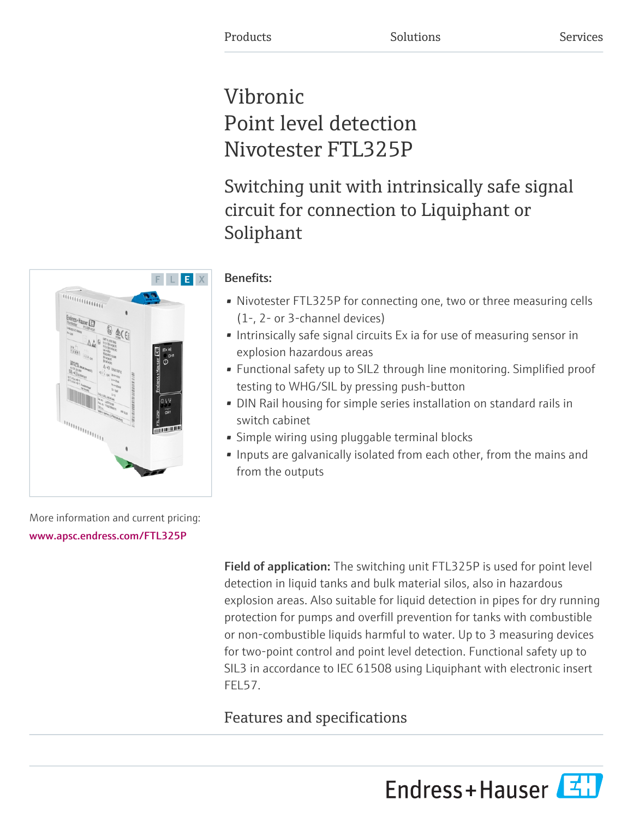# Vibronic Point level detection Nivotester FTL325P

Switching unit with intrinsically safe signal circuit for connection to Liquiphant or Soliphant

# Benefits:

- Nivotester FTL325P for connecting one, two or three measuring cells (1-, 2- or 3-channel devices)
- Intrinsically safe signal circuits Ex ia for use of measuring sensor in explosion hazardous areas
- Functional safety up to SIL2 through line monitoring. Simplified proof testing to WHG/SIL by pressing push-button
- DIN Rail housing for simple series installation on standard rails in switch cabinet
- Simple wiring using pluggable terminal blocks
- Inputs are galvanically isolated from each other, from the mains and from the outputs

More information and current pricing: [www.apsc.endress.com/FTL325P](https://www.apsc.endress.com/FTL325P)

> Field of application: The switching unit FTL325P is used for point level detection in liquid tanks and bulk material silos, also in hazardous explosion areas. Also suitable for liquid detection in pipes for dry running protection for pumps and overfill prevention for tanks with combustible or non-combustible liquids harmful to water. Up to 3 measuring devices for two-point control and point level detection. Functional safety up to SIL3 in accordance to IEC 61508 using Liquiphant with electronic insert FEL57.

# Features and specifications



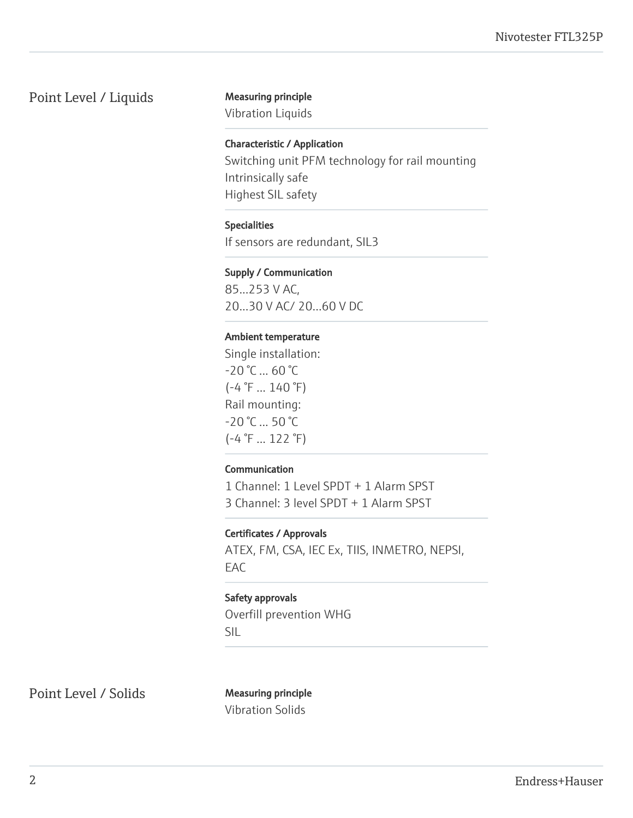# Point Level / Liquids Measuring principle

Vibration Liquids

#### Characteristic / Application

Switching unit PFM technology for rail mounting Intrinsically safe Highest SIL safety

#### Specialities

If sensors are redundant, SIL3

#### Supply / Communication

85...253 V AC, 20...30 V AC/ 20...60 V DC

#### Ambient temperature

Single installation:  $-20 °C ... 60 °C$  $(-4 \degree F ... 140 \degree F)$ Rail mounting: -20 °C ... 50 °C (-4 °F ... 122 °F)

#### Communication

1 Channel: 1 Level SPDT + 1 Alarm SPST 3 Channel: 3 level SPDT + 1 Alarm SPST

#### Certificates / Approvals

ATEX, FM, CSA, IEC Ex, TIIS, INMETRO, NEPSI, EAC

#### Safety approvals

Overfill prevention WHG SIL

Point Level / Solids Measuring principle

Vibration Solids